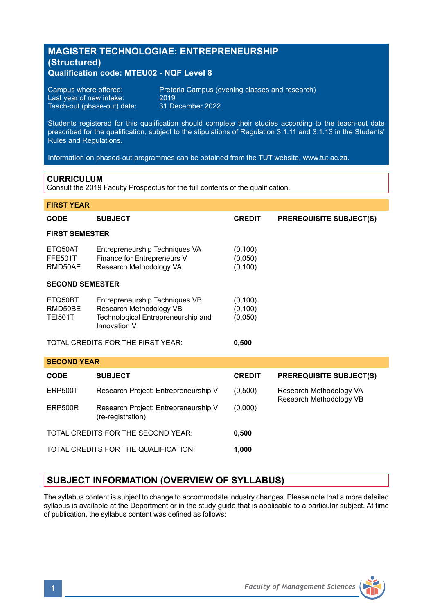# **MAGISTER TECHNOLOGIAE: ENTREPRENEURSHIP (Structured) Qualification code: MTEU02 - NQF Level 8**

Last year of new intake: 2019<br>Teach-out (phase-out) date: 31 December 2022 Teach-out (phase-out) date:

Campus where offered: Pretoria Campus (evening classes and research)<br>Last vear of new intake: 2019

Students registered for this qualification should complete their studies according to the teach-out date prescribed for the qualification, subject to the stipulations of Regulation 3.1.11 and 3.1.13 in the Students' Rules and Regulations.

Information on phased-out programmes can be obtained from the TUT website, www.tut.ac.za.

### **CURRICULUM**

Consult the 2019 Faculty Prospectus for the full contents of the qualification.

| <b>FIRST YEAR</b>                    |                                                                                                                 |                                 |                                |
|--------------------------------------|-----------------------------------------------------------------------------------------------------------------|---------------------------------|--------------------------------|
| <b>CODE</b>                          | <b>SUBJECT</b>                                                                                                  | <b>CREDIT</b>                   | <b>PREREQUISITE SUBJECT(S)</b> |
| <b>FIRST SEMESTER</b>                |                                                                                                                 |                                 |                                |
| ETQ50AT<br><b>FFE501T</b><br>RMD50AE | Entrepreneurship Techniques VA<br>Finance for Entrepreneurs V<br>Research Methodology VA                        | (0, 100)<br>(0,050)<br>(0, 100) |                                |
| <b>SECOND SEMESTER</b>               |                                                                                                                 |                                 |                                |
| ETQ50BT<br>RMD50BE<br><b>TEI501T</b> | Entrepreneurship Techniques VB<br>Research Methodology VB<br>Technological Entrepreneurship and<br>Innovation V | (0, 100)<br>(0, 100)<br>(0,050) |                                |
|                                      |                                                                                                                 |                                 |                                |
|                                      | TOTAL CREDITS FOR THE FIRST YEAR:                                                                               | 0,500                           |                                |
| <b>SECOND YEAR</b>                   |                                                                                                                 |                                 |                                |
| <b>CODE</b>                          | <b>SUBJECT</b>                                                                                                  | <b>CREDIT</b>                   | <b>PREREQUISITE SUBJECT(S)</b> |
| <b>ERP500T</b>                       | Research Project: Entrepreneurship V                                                                            | (0,500)                         | Research Methodology VA        |
| ERP500R                              | Research Project: Entrepreneurship V<br>(re-registration)                                                       | (0,000)                         | Research Methodology VB        |
|                                      | TOTAL CREDITS FOR THE SECOND YEAR:                                                                              | 0,500                           |                                |

# **SUBJECT INFORMATION (OVERVIEW OF SYLLABUS)**

The syllabus content is subject to change to accommodate industry changes. Please note that a more detailed syllabus is available at the Department or in the study guide that is applicable to a particular subject. At time of publication, the syllabus content was defined as follows: